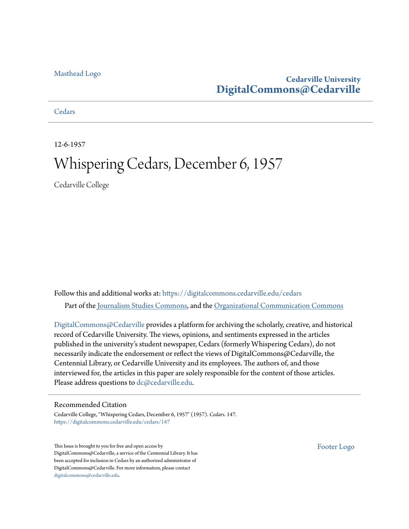#### [Masthead Logo](http://www.cedarville.edu/?utm_source=digitalcommons.cedarville.edu%2Fcedars%2F147&utm_medium=PDF&utm_campaign=PDFCoverPages)

### **Cedarville University [DigitalCommons@Cedarville](https://digitalcommons.cedarville.edu?utm_source=digitalcommons.cedarville.edu%2Fcedars%2F147&utm_medium=PDF&utm_campaign=PDFCoverPages)**

**[Cedars](https://digitalcommons.cedarville.edu/cedars?utm_source=digitalcommons.cedarville.edu%2Fcedars%2F147&utm_medium=PDF&utm_campaign=PDFCoverPages)** 

12-6-1957

## Whispering Cedars, December 6, 1957

Cedarville College

Follow this and additional works at: [https://digitalcommons.cedarville.edu/cedars](https://digitalcommons.cedarville.edu/cedars?utm_source=digitalcommons.cedarville.edu%2Fcedars%2F147&utm_medium=PDF&utm_campaign=PDFCoverPages) Part of the [Journalism Studies Commons](http://network.bepress.com/hgg/discipline/333?utm_source=digitalcommons.cedarville.edu%2Fcedars%2F147&utm_medium=PDF&utm_campaign=PDFCoverPages), and the [Organizational Communication Commons](http://network.bepress.com/hgg/discipline/335?utm_source=digitalcommons.cedarville.edu%2Fcedars%2F147&utm_medium=PDF&utm_campaign=PDFCoverPages)

[DigitalCommons@Cedarville](http://digitalcommons.cedarville.edu/) provides a platform for archiving the scholarly, creative, and historical record of Cedarville University. The views, opinions, and sentiments expressed in the articles published in the university's student newspaper, Cedars (formerly Whispering Cedars), do not necessarily indicate the endorsement or reflect the views of DigitalCommons@Cedarville, the Centennial Library, or Cedarville University and its employees. The authors of, and those interviewed for, the articles in this paper are solely responsible for the content of those articles. Please address questions to [dc@cedarville.edu.](mailto:dc@cedarville.edu)

#### Recommended Citation

Cedarville College, "Whispering Cedars, December 6, 1957" (1957). *Cedars*. 147. [https://digitalcommons.cedarville.edu/cedars/147](https://digitalcommons.cedarville.edu/cedars/147?utm_source=digitalcommons.cedarville.edu%2Fcedars%2F147&utm_medium=PDF&utm_campaign=PDFCoverPages)

This Issue is brought to you for free and open access by DigitalCommons@Cedarville, a service of the Centennial Library. It has been accepted for inclusion in Cedars by an authorized administrator of DigitalCommons@Cedarville. For more information, please contact [digitalcommons@cedarville.edu](mailto:digitalcommons@cedarville.edu).

[Footer Logo](http://www.cedarville.edu/Academics/Library.aspx?utm_source=digitalcommons.cedarville.edu%2Fcedars%2F147&utm_medium=PDF&utm_campaign=PDFCoverPages)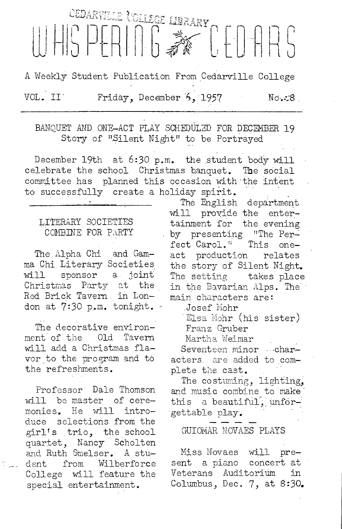# CEDARVILLE L'OLLEGE LIBRARY  $\int$  PERING  $\frac{1}{2}$  (ED-HHS)

A Weekly Student Publication From.Cedarville College VOL. II Friday, December 6, 1957 No.∵8.

BANQUET AND ONE-ACT PLAY SCHEDULED FOR DECEMBER 19 Story of "Silent Night" to be Portrayed

December 19th at 6:30 p.m. the student body will celebrate the school Christmas banquet. The social committee has planned this occasion with the intent to successfully create a holiday spirit.

#### LITERARY SOCIETIES COMBINE FOR PARTY

The Alpha Chi and Gamma Chi Literary Societies will sponsor a joint Christmas Party at the Red Brick Tavern. in London at  $7:30$  p.m. tonight.

The decorative environment of the Old Tavern will add a Christmas flavor.to the program and to the refreshments.

Professor Dale Thomson will be master of ceremonies. He will introduce selections from the girl's trio, the school quartet, Nancy Scholten and Ruth Smelser. A student from Wilberforce College will feature the special entertainment.

The English department will provide the entertainment for the evening by presenting "The Perfect Carol." This oneact production relates the story of Silent Night. The setting takes place in the Bavarian Alps. The main characters are:

.Josef Eohr

'Elsa Mohr (his sister) Franz Gruber

Martha Weimar

Seventeen minor - -characters are added to complete the cast.

The costuming, lighting, and music combine to make this a beautiful, unforgettable play.

#### GUIOMAR NOVAES PLAYS

Miss Novaes will present a piano concert at Veterans Auditorium in Columbus, Dec. 7, at 8:30.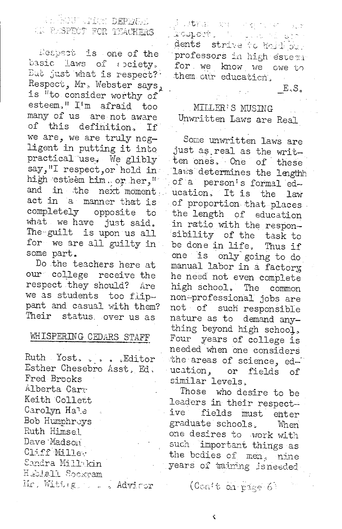O ASU CHONDEPENDE **1E RESPECT FOR TEACHERS** 

Respect is one of the basic laws of society. But just what is respect? Respect, Mr. Webster says, is "to consider worthy of esteem," I'm afraid too many of us are not aware of this definition.  $If$ we are, we are truly negligent in putting it into practical use. We glibly say, "I respect, or hold in high esteem him. or her," and in the next moment. act in a manner that is completely opposite to what we have just said. The guilt is upon us all for we are all guilty in some part.

Do the teachers here at our college receive the respect they should? Are we as students too fiippant and casual with them? Their status over us as

#### WHISPERING CEDARS STAFF

Ruth Yost. . . . Editor Esther Chesebro Asst, Ed. Fred Brooks Alberta Carr Keith Collett Carolyn Hale Bob Humphroys Ruth Himsel Dave Madson Cliff Mille. Sandra Millukin Hublall Sockram Mr: Wittigs a Sadvicor

SAPAN AN PROPERTY DUT inaquatum (<sub>an</sub> lumba gobo dents strive to held ou. professors in high estest for we know we owe to them our education.

 $E.S.$ 

#### MILLER'S MUSING Unwritten Laws are Real

المنابي الم

Some unwritten laws are just as real as the written ones. One of these laws determines the lengthh of a person's formal education. It is the law of proportion that places. the length of education in ratio with the responsibility of the task to be done in life. Thus if one is only going to do manual labor in a factory he need not even complete high school. The common non-professional jobs are not of such responsible nature as to demand anything beyond high school. Four years of college is needed when one considers the areas of science, education, or fields of similar levels.

Those who desire to be leaders in their respective fields must enter graduate schools, When one desires to work with such important things as the bodies of men, nine years of taining isneeded

(Con't on rage 6)

¢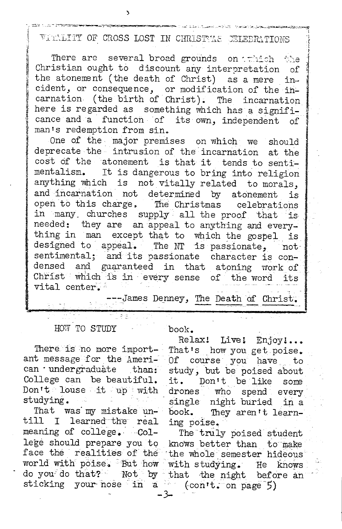VITALITY OF CROSS LOST IN CHRISTMAS CELEBRATIONS

There are several broad grounds on which the Christian ought to discount any interpretation of the atonement (the death of Christ) as a mere incident, or consequence, or modification of the incarnation (the birth of Christ). The incarnation here is regarded as something which has a significance and a function of its own, independent of man's redemption from sin.

One of the major premises on which we should deprecate the intrusion of the incarnation at the cost of the atonement is that it tends to sentimentalism. It is dangerous to bring into religion anything which is not vitally related to morals, and incarnation not determined by atonement is open to this charge. The Christmas celebrations in many churches supply all the proof that is needed: they are an appeal to anything and everything in man except that to which the gospel is designed to appeal. The NT is passionate, not sentimental; and its passionate character is condensed and guaranteed in that atoning work of Christ which is in every sense of the word its. vital center.

---James Denney, The Death of Christ.

#### HOW TO STUDY

There is no more important message for the American undergraduate than: College can be beautiful. Don't louse it up with studying.

That was my mistake untill I learned the real meaning of college. College should prepare you to sticking your nose in a cont. on page 5)

book.

Relax! Live! Enjoy!... That's how you get poise. Of course you have to study, but be poised about it. Don't be like some drones who spend every single night buried in a book. They aren't learning poise.

The truly poised student knows better than to make face the realities of the the whole semester hideous world with poise. But how with studying. He knows do you do that? Not by that the night before an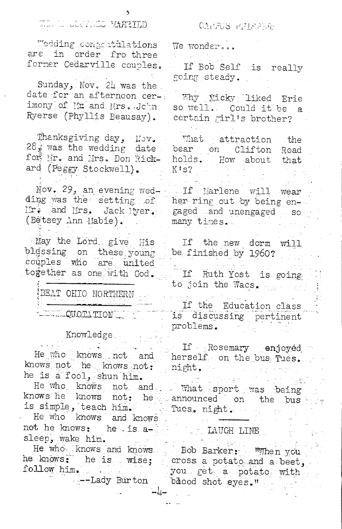#### . Le le cuitelle de la proposition de la proposition de la proposition de la proposition de la proposition de

Wedding congratulations We wonder... are in order fro three former Cedarville couples. If Bob Self is really

Sunday, Nov. 24 was the date for an afternoon cer- Fhy Micky liked Erie imony of Mr and Mrs. John so well. Could it be a Ryerse (Phyllis Beausay).

Thanksgiving day, Nov. Muat attraction the  $28\frac{1}{2}$  was the wedding date for Mr. and Mrs. Don Rick- holds. How about that ard (Peggy Stockwell). K's?

Nov. 29, an evening wed- If Marlene will wear ding was the setting of her ring out by being en-(Betsey Ann Mabie).

May the Lord give His blgssing on these young together as one with God.

BEAT OHIO NORTHERN

**Example 2010 Transfer 100 Million** 

 $\mathcal{P}_\mathrm{g}$  .

going steady.

certain rirl's brother?

bear on Clifton Road

many times.

 $\gamma$  ,  $\gamma$ 

If the new dorm will be finished by 1960?

If Ruth Yost is going to join the Wacs.

If the Education class is discussing pertinent

#### Knowledge

He who knows not and herself on the bus-Tues. he is a fool, shun him.

knows he knows not. he announced on the bus is simple, teach him. Tues, night. He who knows and knows not he knows: he is a-

sleep, wake him.<br>He who knows and knows Bob Barker: Myhen you

problems.

**Except If a Rosemary genjoyed** 

Is a fool, shun him.<br>He who knows not and ... What sport was being

he knows: he is wise; cross a potato and a beet,<br>follow him. you get a potato with<br>--Lady Burton baood shot eyes."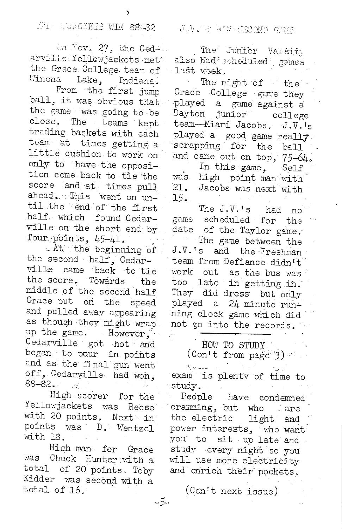ME MOACKETS WIN 88-82

 $\mathbb{C}$ n Nov, 27, the Cedarville Yellowjackets met<br>the Grace College team of

Winona Lake, Indiana.<br>From the first jump From the first jump ball, it was.obvious that the game was going to be<br>close. The teams kept close. The teams kept<br>trading baskets with each toam at times getting a<br>little cushion to work on only to have the opposi- tion come back to tie the score and at times pull ahead. This went on until the end of the first half which found Cedarville on the short end by<br>four.points, 45-41.<br>At the beginning of

the second half, Cedarville came back to tie the score. Towards the middle of the second half Grace put on the speed Grace put on the speed<br>and pulled away appearing as though they might wrap. up the game, However,<br>Cedarville got hot and began to puur in points<br>and as the final gun went<br>off, Gedarwille had won,  $88 - 82$ 

High scorer for the Yellowjackets was Reese with 20 points. Next in points was D. Wentzel with 18.

High man for Grace *vms* Chuck Hunter.with a total of 20 points. Toby Kidder was second with a total of  $16$ .

SALO CHICORDO EN SALO

**·,n1~. J·1nl±.C'r** 1le ..~ **Si-f~,**  also had' scheduled .games.<br>1ast week,

The night of the Grace College gare they<br>played a game against a Dayton junior college team-Miami Jacobs. J.V.'s <sup>p</sup>layed a good game really scrapping for the ball and came out on top, 75-64. . was high point man with 21. Jacobs was next with 15. In this game, Self

The J.V.'s had no game scheduled for the date of the Taylor game. The game between the J.V.'s and the Freshman team from Defiance didn't work out as the bus was too late in getting in. They did dress but only played a 24 minute running clock game which did not go into the records.

> HOW TO STUDY  $(Con't from page 3)$

 $\sqrt{2}$ 

~5..

exam is plenty of time to study.

People have condemned cramming, but who are the electric light and power interests, who want you to sit up late and<br>study every night so you will use more electricity<br>and enrich their pockets,

(Ccn't next issue)